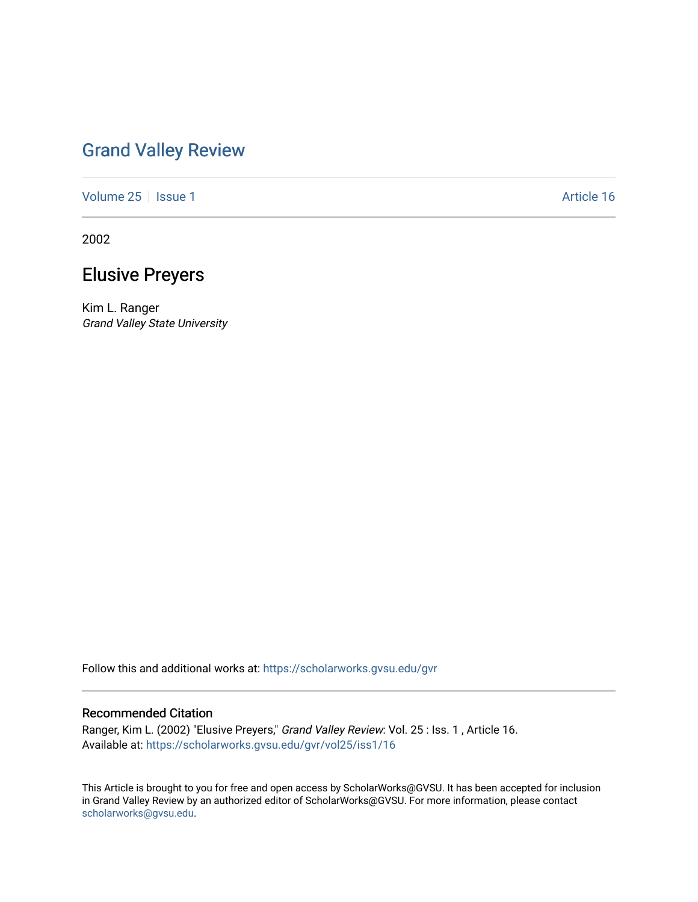## [Grand Valley Review](https://scholarworks.gvsu.edu/gvr)

[Volume 25](https://scholarworks.gvsu.edu/gvr/vol25) | [Issue 1](https://scholarworks.gvsu.edu/gvr/vol25/iss1) Article 16

2002

## Elusive Preyers

Kim L. Ranger Grand Valley State University

Follow this and additional works at: [https://scholarworks.gvsu.edu/gvr](https://scholarworks.gvsu.edu/gvr?utm_source=scholarworks.gvsu.edu%2Fgvr%2Fvol25%2Fiss1%2F16&utm_medium=PDF&utm_campaign=PDFCoverPages) 

## Recommended Citation

Ranger, Kim L. (2002) "Elusive Preyers," Grand Valley Review: Vol. 25 : Iss. 1 , Article 16. Available at: [https://scholarworks.gvsu.edu/gvr/vol25/iss1/16](https://scholarworks.gvsu.edu/gvr/vol25/iss1/16?utm_source=scholarworks.gvsu.edu%2Fgvr%2Fvol25%2Fiss1%2F16&utm_medium=PDF&utm_campaign=PDFCoverPages)

This Article is brought to you for free and open access by ScholarWorks@GVSU. It has been accepted for inclusion in Grand Valley Review by an authorized editor of ScholarWorks@GVSU. For more information, please contact [scholarworks@gvsu.edu](mailto:scholarworks@gvsu.edu).